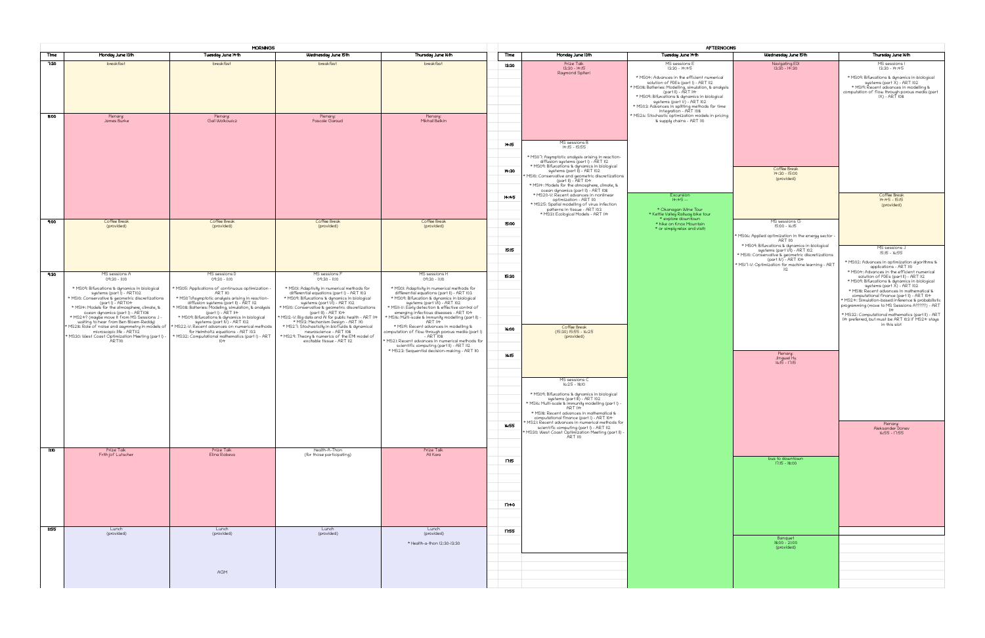|                  |                                                                                                                                | <b>MORNINGS</b>                                                                                                                                            |                                                                                                                                      |                                                                                                                                                                                                |       |                                                                                                                          | AFTERNOONS                                                                         |                                                                               |                                                                                           |
|------------------|--------------------------------------------------------------------------------------------------------------------------------|------------------------------------------------------------------------------------------------------------------------------------------------------------|--------------------------------------------------------------------------------------------------------------------------------------|------------------------------------------------------------------------------------------------------------------------------------------------------------------------------------------------|-------|--------------------------------------------------------------------------------------------------------------------------|------------------------------------------------------------------------------------|-------------------------------------------------------------------------------|-------------------------------------------------------------------------------------------|
| Time             | Monday June 13th                                                                                                               | Tuesday June 14th                                                                                                                                          | Wednesday June 15th                                                                                                                  | Thursday June 16th                                                                                                                                                                             | Time  | Monday June 13th                                                                                                         | Tuesday June 14th                                                                  | Wednesday June 15th                                                           | Thursday June 16th                                                                        |
| 7:30             | breakfast                                                                                                                      | breakfast                                                                                                                                                  | breakfast                                                                                                                            | breakfast                                                                                                                                                                                      | 13:30 | Prize Talk<br>$13:30 - 14:15$                                                                                            | MS sessions E<br>$13:30 - 14:45$                                                   | Navigating EDI<br>13:30 - 14:30                                               | MS sessions I<br>$13:30 - 14:45$                                                          |
|                  |                                                                                                                                |                                                                                                                                                            |                                                                                                                                      |                                                                                                                                                                                                |       | Raymond Spiteri                                                                                                          | * MS04: Advances in the efficient numerical<br>solution of PDEs (part I) - ART 112 |                                                                               | * MS09: Bifurcations & dynamics<br>systems (part X) – ART                                 |
|                  |                                                                                                                                |                                                                                                                                                            |                                                                                                                                      |                                                                                                                                                                                                |       |                                                                                                                          | * MS08: Batteries: Modelling, simulation, & analysis<br>part 11) - ART 114         |                                                                               | * MS19: Řecent advances in m                                                              |
|                  |                                                                                                                                |                                                                                                                                                            |                                                                                                                                      |                                                                                                                                                                                                |       |                                                                                                                          | * MS09: Bifurcations & dynamics in biological<br>systems (part Ŭ) – ART 102        |                                                                               | computation of flow through porou<br>IX) - ART 108                                        |
|                  |                                                                                                                                |                                                                                                                                                            |                                                                                                                                      |                                                                                                                                                                                                |       |                                                                                                                          | * MS03: Advances in splitting methods for time<br>integration - ART 108            |                                                                               |                                                                                           |
| 8:00             | Plenary:<br>James Burke                                                                                                        | Plenary:<br>Gail Wolkowicz                                                                                                                                 | Plenary:<br>Pascale Garaud                                                                                                           | Plenary:<br>Mikhail Belkin                                                                                                                                                                     |       |                                                                                                                          | MS26: Stochastic optimization models in pricing *<br>& supply chains - ART 110     |                                                                               |                                                                                           |
|                  |                                                                                                                                |                                                                                                                                                            |                                                                                                                                      |                                                                                                                                                                                                |       |                                                                                                                          |                                                                                    |                                                                               |                                                                                           |
|                  |                                                                                                                                |                                                                                                                                                            |                                                                                                                                      |                                                                                                                                                                                                | 14:15 | MS sessions B                                                                                                            |                                                                                    |                                                                               |                                                                                           |
|                  |                                                                                                                                |                                                                                                                                                            |                                                                                                                                      |                                                                                                                                                                                                |       | 14:15 - 15:55                                                                                                            |                                                                                    |                                                                               |                                                                                           |
|                  |                                                                                                                                |                                                                                                                                                            |                                                                                                                                      |                                                                                                                                                                                                |       |                                                                                                                          |                                                                                    |                                                                               |                                                                                           |
|                  |                                                                                                                                |                                                                                                                                                            |                                                                                                                                      |                                                                                                                                                                                                | 14:30 |                                                                                                                          |                                                                                    | Coffee Break<br>14:30 - 15:00                                                 |                                                                                           |
|                  |                                                                                                                                |                                                                                                                                                            |                                                                                                                                      |                                                                                                                                                                                                |       | MS10: Conservative and geometric discretizations<br>(part II) - ART 104<br>* MSI4: Models for the atmosphere, climate, & |                                                                                    | (provided)                                                                    |                                                                                           |
|                  |                                                                                                                                |                                                                                                                                                            |                                                                                                                                      |                                                                                                                                                                                                | 14:45 | ocean dynamics (part II) - ART 108<br>* MS20-V: Recent advances in nonlinear                                             | Excursion                                                                          |                                                                               | Coffee Break                                                                              |
|                  |                                                                                                                                |                                                                                                                                                            |                                                                                                                                      |                                                                                                                                                                                                |       | optimization - ART 110<br>* MS25: Spatial modelling of virus infection                                                   | $14:45 -$                                                                          |                                                                               | $14:45 - 15:15$<br>(provided)                                                             |
|                  |                                                                                                                                |                                                                                                                                                            |                                                                                                                                      |                                                                                                                                                                                                |       | patterns in tissue - ART 103<br>* MS3I: Ecological Models - ART 114                                                      | * Okanagan Wine Tour<br>* Kettle Valley Railway bike tour<br>* explore downtown    |                                                                               |                                                                                           |
| 9:00             | Coffee Break<br>(provided)                                                                                                     | Coffee Break<br>(provided)                                                                                                                                 | Coffee Break<br>(provided)                                                                                                           | Coffee Break<br>(provided)                                                                                                                                                                     | 15:00 |                                                                                                                          | * hike on Knox Mountain<br>* or simply relax and visit!                            | MS sessions G<br>15:00 - 16:15                                                |                                                                                           |
|                  |                                                                                                                                |                                                                                                                                                            |                                                                                                                                      |                                                                                                                                                                                                |       |                                                                                                                          |                                                                                    | * MS06: Applied optimization in the energy sector -<br>ART 110                |                                                                                           |
|                  |                                                                                                                                |                                                                                                                                                            |                                                                                                                                      |                                                                                                                                                                                                | 15:15 |                                                                                                                          |                                                                                    | * MS09: Bifurcations & dynamics in biological<br>systems (part VII) – ART 102 | MS sessions J                                                                             |
|                  |                                                                                                                                |                                                                                                                                                            |                                                                                                                                      |                                                                                                                                                                                                |       |                                                                                                                          |                                                                                    | * MS10: Conservative & geometric discretizations<br>$(part IV) - ART 104$     | 15:15 - 16:55                                                                             |
|                  |                                                                                                                                |                                                                                                                                                            |                                                                                                                                      |                                                                                                                                                                                                |       |                                                                                                                          |                                                                                    | MS17-V: Optimization for machine learning - ART<br>112                        | * MS02: Advances in optimization<br>applications - ART 110                                |
| 9:30             | MS sessions A<br>09:30 - 11:10                                                                                                 | MS sessions D<br>09:30 - 11:10                                                                                                                             | MS sessions F<br>09:30 - 11:10                                                                                                       | MS sessions H<br>09:30 - 11:10                                                                                                                                                                 | 15:30 |                                                                                                                          |                                                                                    |                                                                               | * MS04: Advances in the efficier<br>solution of PDEs (part II) - A                        |
|                  | * MS09: Bifurcations & dynamics in biological                                                                                  | * MS05: Applications of continuous optimization -                                                                                                          | * MS01: Adaptivity in numerical methods for                                                                                          | * MS01: Adaptivity in numerical methods for                                                                                                                                                    |       |                                                                                                                          |                                                                                    |                                                                               | * MS09: Bifurcations & dynamics<br>systems (part X) - ART<br>mS18: Recent advances in mat |
|                  | supplems (part)) - ARTIO2<br>* MSI0: Conservative & geometric discretizations<br>* MSI4: Models for the atmosphere, climate, & | ART 110<br>* MS07:Asymptotic analysis arising in reaction-<br>diffusion systems (part II) - ART 112<br>* MS08: Batteries: Modeling, simulation, & analysis | differential equations (part I) - ART 103<br>* MS09: Bifurcations & dynamics in biological                                           | differential equations (part II) - ART 103<br>* MS09: Bifurcation & dynamics in biological<br>* MS09: Bifurcation & dynamics in biological<br>* MSII-V: Early detection & effective control of |       |                                                                                                                          |                                                                                    |                                                                               | computational finance (part II)<br>MS24: Simulation-based inference                       |
|                  | ocean dynamics (part I) - ART108                                                                                               | (part I) - ART 114                                                                                                                                         | systems (part VI) - ART 102<br>systems (part VI) - ART 102<br>MSIO: Conservative & geometric discretizations<br>(part III) - ART 104 | emerging infectious diseases - ART 104                                                                                                                                                         |       |                                                                                                                          |                                                                                    |                                                                               | programming (move to MS Sessions                                                          |
|                  | * MS24? (maybe move it from MS Sessions J -<br>waiting to hear from Ben Bloem-Reddy)                                           | * MS09: Bifurcations & dynamics in biological<br>systems (part IV) – ART 102                                                                               | MS12-V: Big data and AI for public health - ART 114<br>* MS13: Mechanism Design - ART 110                                            | * MS16: Multi-scale & immunity modelling (part 11) -<br>ART 114                                                                                                                                |       |                                                                                                                          |                                                                                    |                                                                               | * MS32: Computational mathematics<br>114 preferred, but must be ART 103                   |
|                  | MS28: Role of noise and asymmetry in models of<br>microscopic life - ARTII2                                                    | MS22-V: Recent advances on numerical methods *<br>for Helmholtz equations - ART 103                                                                        | * MS27: Stochasticity in biofluids & dynamical<br>neuroscience - ART 108                                                             | * MS19: Recent advances in modelling &<br>computation of flow through porous media (part l)<br>- ART 108                                                                                       | 16:00 | Coffee Break<br>(15:30) 15:55 - 16:25                                                                                    |                                                                                    |                                                                               | in this slot                                                                              |
|                  | * MS30: West Coast Optimization Meeting (part I) -<br><b>ARTIIO</b>                                                            | * MS32: Computational mathematics (part I) - ART<br>104                                                                                                    | * MS29: Theory & numerics of the EMI model of<br>excitable tissue - ART 112                                                          | MS21: Recent advances in numerical methods for                                                                                                                                                 |       | (provided)                                                                                                               |                                                                                    |                                                                               |                                                                                           |
|                  |                                                                                                                                |                                                                                                                                                            |                                                                                                                                      | scientific computing (part II) - ART 112<br>* MS23: Sequential decision-making - ART 110                                                                                                       | 16:15 |                                                                                                                          |                                                                                    | Plenary:                                                                      |                                                                                           |
|                  |                                                                                                                                |                                                                                                                                                            |                                                                                                                                      |                                                                                                                                                                                                |       |                                                                                                                          |                                                                                    | Jingwei Hu<br>16:15 - 17:15                                                   |                                                                                           |
|                  |                                                                                                                                |                                                                                                                                                            |                                                                                                                                      |                                                                                                                                                                                                |       |                                                                                                                          |                                                                                    |                                                                               |                                                                                           |
|                  |                                                                                                                                |                                                                                                                                                            |                                                                                                                                      |                                                                                                                                                                                                |       | MS sessions C<br>$16:25 - 18:10$                                                                                         |                                                                                    |                                                                               |                                                                                           |
|                  |                                                                                                                                |                                                                                                                                                            |                                                                                                                                      |                                                                                                                                                                                                |       | * MS09: Bifurcations & dynamics in biological                                                                            |                                                                                    |                                                                               |                                                                                           |
|                  |                                                                                                                                |                                                                                                                                                            |                                                                                                                                      |                                                                                                                                                                                                |       | systems (part III) – ART 102<br>* MS16: Multi-scale & immunity modelling (part I) -<br><b>ART 114</b>                    |                                                                                    |                                                                               |                                                                                           |
|                  |                                                                                                                                |                                                                                                                                                            |                                                                                                                                      |                                                                                                                                                                                                |       | * MS18: Recent advances in mathematical &<br>computational finance (part I) - ART 104                                    |                                                                                    |                                                                               |                                                                                           |
|                  |                                                                                                                                |                                                                                                                                                            |                                                                                                                                      |                                                                                                                                                                                                | 16:55 | MS21: Recent advances in numerical methods for<br>scientific computing (part I) - ART 112                                |                                                                                    |                                                                               | Plenary:<br>Aleksander Donev                                                              |
|                  |                                                                                                                                |                                                                                                                                                            |                                                                                                                                      |                                                                                                                                                                                                |       | - MS30: West Coast Optimization Meeting (part II) -<br>ART 110                                                           |                                                                                    |                                                                               | 16:55 - 17:55                                                                             |
| nno              | Prize Talk                                                                                                                     | Prize Talk                                                                                                                                                 | Health-A-Thon                                                                                                                        | Prize Talk                                                                                                                                                                                     |       |                                                                                                                          |                                                                                    |                                                                               |                                                                                           |
|                  | Frith jof Lutscher                                                                                                             | Elina Robeva                                                                                                                                               | (for those participating)                                                                                                            | Ali Kara                                                                                                                                                                                       | 17:15 |                                                                                                                          |                                                                                    | bus to downtown                                                               |                                                                                           |
|                  |                                                                                                                                |                                                                                                                                                            |                                                                                                                                      |                                                                                                                                                                                                |       |                                                                                                                          |                                                                                    | $17:15 - 18:00$                                                               |                                                                                           |
|                  |                                                                                                                                |                                                                                                                                                            |                                                                                                                                      |                                                                                                                                                                                                |       |                                                                                                                          |                                                                                    |                                                                               |                                                                                           |
|                  |                                                                                                                                |                                                                                                                                                            |                                                                                                                                      |                                                                                                                                                                                                |       |                                                                                                                          |                                                                                    |                                                                               |                                                                                           |
|                  |                                                                                                                                |                                                                                                                                                            |                                                                                                                                      |                                                                                                                                                                                                |       |                                                                                                                          |                                                                                    |                                                                               |                                                                                           |
|                  |                                                                                                                                |                                                                                                                                                            |                                                                                                                                      |                                                                                                                                                                                                | 17:40 |                                                                                                                          |                                                                                    |                                                                               |                                                                                           |
|                  |                                                                                                                                |                                                                                                                                                            |                                                                                                                                      |                                                                                                                                                                                                |       |                                                                                                                          |                                                                                    |                                                                               |                                                                                           |
| $\overline{155}$ | Lunch<br>(provided)                                                                                                            | Lunch<br>(provided)                                                                                                                                        | Lunch<br>(provided)                                                                                                                  | Lunch<br>(provided)                                                                                                                                                                            | 17:55 |                                                                                                                          |                                                                                    |                                                                               |                                                                                           |
|                  |                                                                                                                                |                                                                                                                                                            |                                                                                                                                      | * Health-a-thon 12:30-13:30                                                                                                                                                                    |       |                                                                                                                          |                                                                                    | Banquet<br>$18:00 - 21:00$                                                    |                                                                                           |
|                  |                                                                                                                                |                                                                                                                                                            |                                                                                                                                      |                                                                                                                                                                                                |       |                                                                                                                          |                                                                                    | (provided)                                                                    |                                                                                           |
|                  |                                                                                                                                |                                                                                                                                                            |                                                                                                                                      |                                                                                                                                                                                                |       |                                                                                                                          |                                                                                    |                                                                               |                                                                                           |
|                  |                                                                                                                                | AGM                                                                                                                                                        |                                                                                                                                      |                                                                                                                                                                                                |       |                                                                                                                          |                                                                                    |                                                                               |                                                                                           |
|                  |                                                                                                                                |                                                                                                                                                            |                                                                                                                                      |                                                                                                                                                                                                |       |                                                                                                                          |                                                                                    |                                                                               |                                                                                           |

| <b>ONS</b> |                                                                                  |                                                                                                       |
|------------|----------------------------------------------------------------------------------|-------------------------------------------------------------------------------------------------------|
|            | Wednesday June 15th                                                              | Thursday June 16th                                                                                    |
|            |                                                                                  | MS sessions I                                                                                         |
|            | Navigating EDI<br>13:30 - 14:30                                                  | 13:30 - 14:45                                                                                         |
|            |                                                                                  |                                                                                                       |
|            |                                                                                  | * MS09: Bifurcations & dynamics in biological<br>systems (part X) - ART 102                           |
| is         |                                                                                  | * MS19: Řecent advances in modelling &                                                                |
|            |                                                                                  | computation of flow through porous media (part                                                        |
|            |                                                                                  | IX) - ART 108                                                                                         |
|            |                                                                                  |                                                                                                       |
|            |                                                                                  |                                                                                                       |
| 1g         |                                                                                  |                                                                                                       |
|            |                                                                                  |                                                                                                       |
|            |                                                                                  |                                                                                                       |
|            |                                                                                  |                                                                                                       |
|            |                                                                                  |                                                                                                       |
|            |                                                                                  |                                                                                                       |
|            |                                                                                  |                                                                                                       |
|            |                                                                                  |                                                                                                       |
|            | Coffee Break                                                                     |                                                                                                       |
|            | 14:30 - 15:00<br>(provided)                                                      |                                                                                                       |
|            |                                                                                  |                                                                                                       |
|            |                                                                                  |                                                                                                       |
|            |                                                                                  | Coffee Break                                                                                          |
|            |                                                                                  | 14:45 - 15:15                                                                                         |
|            |                                                                                  | (provided)                                                                                            |
|            |                                                                                  |                                                                                                       |
|            | MS sessions G                                                                    |                                                                                                       |
|            | $15:00 - 16:15$                                                                  |                                                                                                       |
|            | * MS06: Applied optimization in the energy sector -                              |                                                                                                       |
|            | <b>ART 110</b>                                                                   |                                                                                                       |
|            | * MS09: Bifurcations & dynamics in biological                                    | MS sessions J                                                                                         |
|            | systems (part VII) - ART 102<br>* MSI0: Conservative & geometric discretizations | $15:15 - 16:55$                                                                                       |
|            | (part IV) - ART 104                                                              | * MS02: Advances in optimization algorithms &                                                         |
|            | * MS17-V: Optimization for machine learning - ART<br>112                         | applications - ART 110                                                                                |
|            |                                                                                  | * MS04: Advances in the efficient numerical                                                           |
|            |                                                                                  | solution of PDEs (part II) - ART 112<br>* MS09: Bifurcations & dynamics in biological                 |
|            |                                                                                  | systems (part X) – ART 102                                                                            |
|            |                                                                                  | * MS18: Recent advances in mathematical &                                                             |
|            |                                                                                  | computational finance (part II) - ART 104<br>* MS24: Simulation-based inference & probabilistic       |
|            |                                                                                  | programming (move to MS Sessions A?????) - ART                                                        |
|            |                                                                                  | 4                                                                                                     |
|            |                                                                                  | * MS32: Computational mathematics (part II) - ART<br>114 preferred, but must be ART 103 if MS24 stays |
|            |                                                                                  | in this slot                                                                                          |
|            |                                                                                  |                                                                                                       |
|            |                                                                                  |                                                                                                       |
|            |                                                                                  |                                                                                                       |
|            | Plenary:                                                                         |                                                                                                       |
|            | Jingwei Hu                                                                       |                                                                                                       |
|            | $16:15 - 17:15$                                                                  |                                                                                                       |
|            |                                                                                  |                                                                                                       |
|            |                                                                                  |                                                                                                       |
|            |                                                                                  |                                                                                                       |
|            |                                                                                  |                                                                                                       |
|            |                                                                                  |                                                                                                       |
|            |                                                                                  |                                                                                                       |
|            |                                                                                  |                                                                                                       |
|            |                                                                                  |                                                                                                       |
|            |                                                                                  | Plenary:                                                                                              |
|            |                                                                                  | Aleksander Donev                                                                                      |
|            |                                                                                  | 16:55 - 17:55                                                                                         |
|            |                                                                                  |                                                                                                       |
|            |                                                                                  |                                                                                                       |
|            |                                                                                  |                                                                                                       |
|            | bus to downtown                                                                  |                                                                                                       |
|            | $17:15 - 18:00$                                                                  |                                                                                                       |
|            |                                                                                  |                                                                                                       |
|            |                                                                                  |                                                                                                       |
|            |                                                                                  |                                                                                                       |
|            |                                                                                  |                                                                                                       |
|            |                                                                                  |                                                                                                       |
|            |                                                                                  |                                                                                                       |
|            |                                                                                  |                                                                                                       |
|            |                                                                                  |                                                                                                       |
|            |                                                                                  |                                                                                                       |
|            |                                                                                  |                                                                                                       |
|            | Banquet                                                                          |                                                                                                       |
|            | 18:00 - 21:00                                                                    |                                                                                                       |
|            | (provided)                                                                       |                                                                                                       |
|            |                                                                                  |                                                                                                       |
|            |                                                                                  |                                                                                                       |
|            |                                                                                  |                                                                                                       |
|            |                                                                                  |                                                                                                       |
|            |                                                                                  |                                                                                                       |
|            |                                                                                  |                                                                                                       |